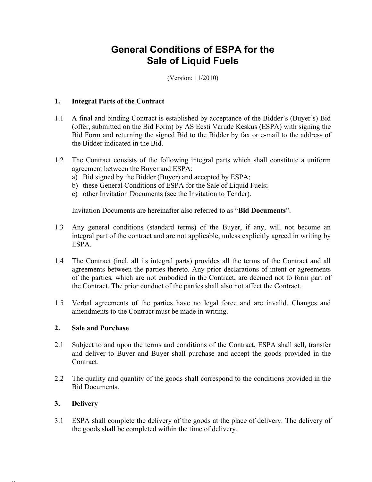# General Conditions of ESPA for the Sale of Liquid Fuels

(Version: 11/2010)

#### 1. Integral Parts of the Contract

- 1.1 A final and binding Contract is established by acceptance of the Bidder's (Buyer's) Bid (offer, submitted on the Bid Form) by AS Eesti Varude Keskus (ESPA) with signing the Bid Form and returning the signed Bid to the Bidder by fax or e-mail to the address of the Bidder indicated in the Bid.
- 1.2 The Contract consists of the following integral parts which shall constitute a uniform agreement between the Buyer and ESPA:
	- a) Bid signed by the Bidder (Buyer) and accepted by ESPA;
	- b) these General Conditions of ESPA for the Sale of Liquid Fuels;
	- c) other Invitation Documents (see the Invitation to Tender).

Invitation Documents are hereinafter also referred to as "Bid Documents".

- 1.3 Any general conditions (standard terms) of the Buyer, if any, will not become an integral part of the contract and are not applicable, unless explicitly agreed in writing by ESPA.
- 1.4 The Contract (incl. all its integral parts) provides all the terms of the Contract and all agreements between the parties thereto. Any prior declarations of intent or agreements of the parties, which are not embodied in the Contract, are deemed not to form part of the Contract. The prior conduct of the parties shall also not affect the Contract.
- 1.5 Verbal agreements of the parties have no legal force and are invalid. Changes and amendments to the Contract must be made in writing.

#### 2. Sale and Purchase

- 2.1 Subject to and upon the terms and conditions of the Contract, ESPA shall sell, transfer and deliver to Buyer and Buyer shall purchase and accept the goods provided in the Contract.
- 2.2 The quality and quantity of the goods shall correspond to the conditions provided in the Bid Documents.

#### 3. Delivery

 $23568585$ 

3.1 ESPA shall complete the delivery of the goods at the place of delivery. The delivery of the goods shall be completed within the time of delivery.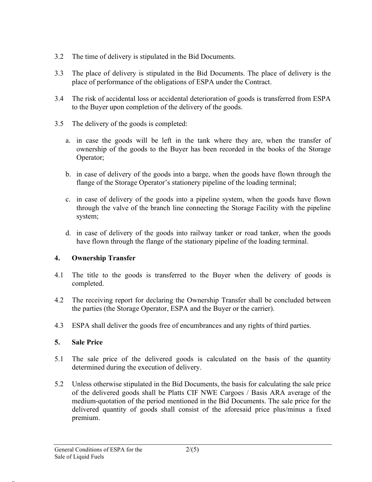- 3.2 The time of delivery is stipulated in the Bid Documents.
- 3.3 The place of delivery is stipulated in the Bid Documents. The place of delivery is the place of performance of the obligations of ESPA under the Contract.
- 3.4 The risk of accidental loss or accidental deterioration of goods is transferred from ESPA to the Buyer upon completion of the delivery of the goods.
- 3.5 The delivery of the goods is completed:
	- a. in case the goods will be left in the tank where they are, when the transfer of ownership of the goods to the Buyer has been recorded in the books of the Storage Operator;
	- b. in case of delivery of the goods into a barge, when the goods have flown through the flange of the Storage Operator's stationery pipeline of the loading terminal;
	- c. in case of delivery of the goods into a pipeline system, when the goods have flown through the valve of the branch line connecting the Storage Facility with the pipeline system;
	- d. in case of delivery of the goods into railway tanker or road tanker, when the goods have flown through the flange of the stationary pipeline of the loading terminal.

# 4. Ownership Transfer

- 4.1 The title to the goods is transferred to the Buyer when the delivery of goods is completed.
- 4.2 The receiving report for declaring the Ownership Transfer shall be concluded between the parties (the Storage Operator, ESPA and the Buyer or the carrier).
- 4.3 ESPA shall deliver the goods free of encumbrances and any rights of third parties.

# 5. Sale Price

- 5.1 The sale price of the delivered goods is calculated on the basis of the quantity determined during the execution of delivery.
- 5.2 Unless otherwise stipulated in the Bid Documents, the basis for calculating the sale price of the delivered goods shall be Platts CIF NWE Cargoes / Basis ARA average of the medium-quotation of the period mentioned in the Bid Documents. The sale price for the delivered quantity of goods shall consist of the aforesaid price plus/minus a fixed premium.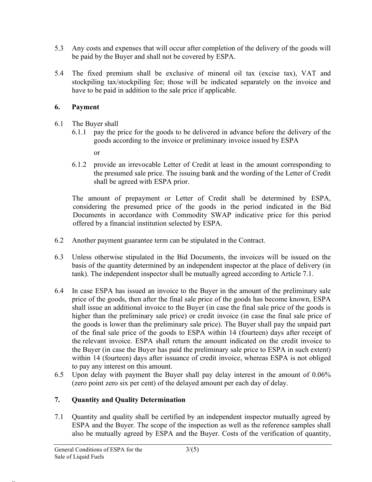- 5.3 Any costs and expenses that will occur after completion of the delivery of the goods will be paid by the Buyer and shall not be covered by ESPA.
- 5.4 The fixed premium shall be exclusive of mineral oil tax (excise tax), VAT and stockpiling tax/stockpiling fee; those will be indicated separately on the invoice and have to be paid in addition to the sale price if applicable.

#### 6. Payment

- 6.1 The Buyer shall
	- 6.1.1 pay the price for the goods to be delivered in advance before the delivery of the goods according to the invoice or preliminary invoice issued by ESPA
		- or
	- 6.1.2 provide an irrevocable Letter of Credit at least in the amount corresponding to the presumed sale price. The issuing bank and the wording of the Letter of Credit shall be agreed with ESPA prior.

The amount of prepayment or Letter of Credit shall be determined by ESPA, considering the presumed price of the goods in the period indicated in the Bid Documents in accordance with Commodity SWAP indicative price for this period offered by a financial institution selected by ESPA.

- 6.2 Another payment guarantee term can be stipulated in the Contract.
- 6.3 Unless otherwise stipulated in the Bid Documents, the invoices will be issued on the basis of the quantity determined by an independent inspector at the place of delivery (in tank). The independent inspector shall be mutually agreed according to Article 7.1.
- 6.4 In case ESPA has issued an invoice to the Buyer in the amount of the preliminary sale price of the goods, then after the final sale price of the goods has become known, ESPA shall issue an additional invoice to the Buyer (in case the final sale price of the goods is higher than the preliminary sale price) or credit invoice (in case the final sale price of the goods is lower than the preliminary sale price). The Buyer shall pay the unpaid part of the final sale price of the goods to ESPA within 14 (fourteen) days after receipt of the relevant invoice. ESPA shall return the amount indicated on the credit invoice to the Buyer (in case the Buyer has paid the preliminary sale price to ESPA in such extent) within 14 (fourteen) days after issuance of credit invoice, whereas ESPA is not obliged to pay any interest on this amount.
- 6.5 Upon delay with payment the Buyer shall pay delay interest in the amount of 0.06% (zero point zero six per cent) of the delayed amount per each day of delay.

# 7. Quantity and Quality Determination

7.1 Quantity and quality shall be certified by an independent inspector mutually agreed by ESPA and the Buyer. The scope of the inspection as well as the reference samples shall also be mutually agreed by ESPA and the Buyer. Costs of the verification of quantity,

 $23568585$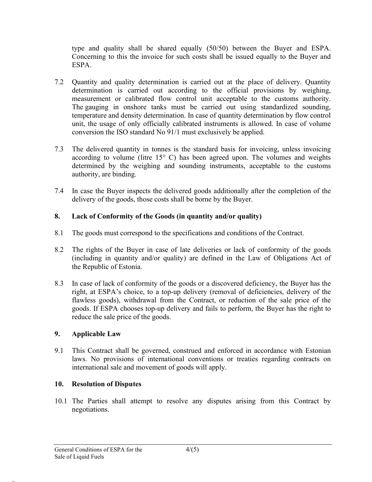type and quality shall be shared equally (50/50) between the Buyer and ESPA. Concerning to this the invoice for such costs shall be issued equally to the Buyer and ESPA.

- 7.2 Quantity and quality determination is carried out at the place of delivery. Quantity determination is carried out according to the official provisions by weighing, measurement or calibrated flow control unit acceptable to the customs authority. The gauging in onshore tanks must be carried out using standardized sounding, temperature and density determination. In case of quantity determination by flow control unit, the usage of only officially calibrated instruments is allowed. In case of volume conversion the ISO standard No 91/1 must exclusively be applied.
- 7.3 The delivered quantity in tonnes is the standard basis for invoicing, unless invoicing according to volume (litre  $15^{\circ}$  C) has been agreed upon. The volumes and weights determined by the weighing and sounding instruments, acceptable to the customs authority, are binding.
- 7.4 In case the Buyer inspects the delivered goods additionally after the completion of the delivery of the goods, those costs shall be borne by the Buyer.

# 8. Lack of Conformity of the Goods (in quantity and/or quality)

- 8.1 The goods must correspond to the specifications and conditions of the Contract.
- 8.2 The rights of the Buyer in case of late deliveries or lack of conformity of the goods (including in quantity and/or quality) are defined in the Law of Obligations Act of the Republic of Estonia.
- 8.3 In case of lack of conformity of the goods or a discovered deficiency, the Buyer has the right, at ESPA's choice, to a top-up delivery (removal of deficiencies, delivery of the flawless goods), withdrawal from the Contract, or reduction of the sale price of the goods. If ESPA chooses top-up delivery and fails to perform, the Buyer has the right to reduce the sale price of the goods.

# 9. Applicable Law

9.1 This Contract shall be governed, construed and enforced in accordance with Estonian laws. No provisions of international conventions or treaties regarding contracts on international sale and movement of goods will apply.

# 10. Resolution of Disputes

10.1 The Parties shall attempt to resolve any disputes arising from this Contract by negotiations.

 $23568585$